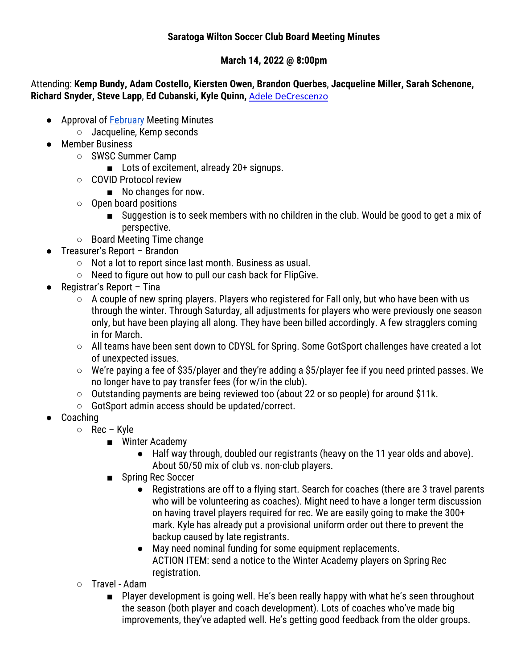## **Saratoga Wilton Soccer Club Board Meeting Minutes**

## **March 14, 2022 @ 8:00pm**

Attending: **Kemp Bundy, Adam Costello, Kiersten Owen, Brandon Querbes**, **Jacqueline Miller, Sarah Schenone, Richard Snyder, Steve Lapp**, **Ed Cubanski, Kyle Quinn,** Adele DeCrescenzo

- Approval of February Meeting Minutes
	- Jacqueline, Kemp seconds
- Member Business
	- SWSC Summer Camp
		- Lots of excitement, already 20+ signups.
	- COVID Protocol review
		- No changes for now.
	- Open board positions
		- Suggestion is to seek members with no children in the club. Would be good to get a mix of perspective.
	- Board Meeting Time change
- Treasurer's Report Brandon
	- Not a lot to report since last month. Business as usual.
	- Need to figure out how to pull our cash back for FlipGive.
- Registrar's Report Tina
	- A couple of new spring players. Players who registered for Fall only, but who have been with us through the winter. Through Saturday, all adjustments for players who were previously one season only, but have been playing all along. They have been billed accordingly. A few stragglers coming in for March.
	- All teams have been sent down to CDYSL for Spring. Some GotSport challenges have created a lot of unexpected issues.
	- $\circ$  We're paying a fee of \$35/player and they're adding a \$5/player fee if you need printed passes. We no longer have to pay transfer fees (for w/in the club).
	- Outstanding payments are being reviewed too (about 22 or so people) for around \$11k.
	- GotSport admin access should be updated/correct.
- Coaching
	- Rec Kyle
		- Winter Academy
			- Half way through, doubled our registrants (heavy on the 11 year olds and above). About 50/50 mix of club vs. non-club players.
		- Spring Rec Soccer
			- Registrations are off to a flying start. Search for coaches (there are 3 travel parents who will be volunteering as coaches). Might need to have a longer term discussion on having travel players required for rec. We are easily going to make the 300+ mark. Kyle has already put a provisional uniform order out there to prevent the backup caused by late registrants.
			- May need nominal funding for some equipment replacements. ACTION ITEM: send a notice to the Winter Academy players on Spring Rec registration.
		- Travel Adam
			- Player development is going well. He's been really happy with what he's seen throughout the season (both player and coach development). Lots of coaches who've made big improvements, they've adapted well. He's getting good feedback from the older groups.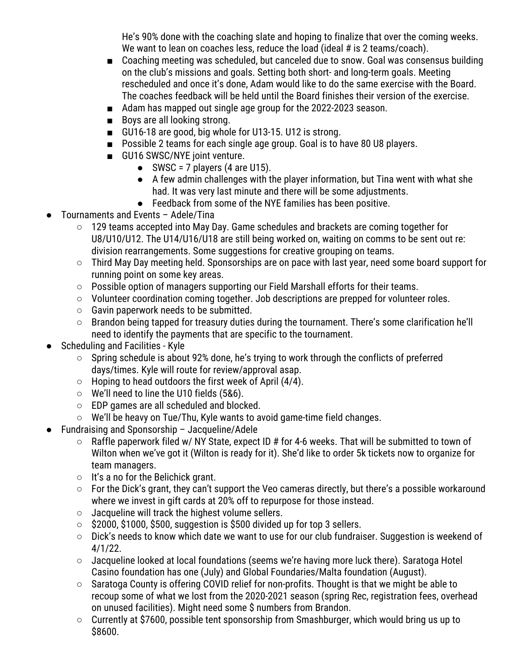He's 90% done with the coaching slate and hoping to finalize that over the coming weeks. We want to lean on coaches less, reduce the load (ideal # is 2 teams/coach).

- Coaching meeting was scheduled, but canceled due to snow. Goal was consensus building on the club's missions and goals. Setting both short- and long-term goals. Meeting rescheduled and once it's done, Adam would like to do the same exercise with the Board. The coaches feedback will be held until the Board finishes their version of the exercise.
- Adam has mapped out single age group for the 2022-2023 season.
- Boys are all looking strong.
- GU16-18 are good, big whole for U13-15. U12 is strong.
- Possible 2 teams for each single age group. Goal is to have 80 U8 players.
- GU16 SWSC/NYE joint venture.
	- $\bullet$  SWSC = 7 players (4 are U15).
	- A few admin challenges with the player information, but Tina went with what she had. It was very last minute and there will be some adjustments.
	- Feedback from some of the NYE families has been positive.
- Tournaments and Events Adele/Tina
	- 129 teams accepted into May Day. Game schedules and brackets are coming together for U8/U10/U12. The U14/U16/U18 are still being worked on, waiting on comms to be sent out re: division rearrangements. Some suggestions for creative grouping on teams.
	- Third May Day meeting held. Sponsorships are on pace with last year, need some board support for running point on some key areas.
	- Possible option of managers supporting our Field Marshall efforts for their teams.
	- Volunteer coordination coming together. Job descriptions are prepped for volunteer roles.
	- $\circ$  Gavin paperwork needs to be submitted.
	- Brandon being tapped for treasury duties during the tournament. There's some clarification he'll need to identify the payments that are specific to the tournament.
- Scheduling and Facilities Kyle
	- Spring schedule is about 92% done, he's trying to work through the conflicts of preferred days/times. Kyle will route for review/approval asap.
	- $\circ$  Hoping to head outdoors the first week of April (4/4).
	- We'll need to line the U10 fields (5&6).
	- EDP games are all scheduled and blocked.
	- We'll be heavy on Tue/Thu, Kyle wants to avoid game-time field changes.
- Fundraising and Sponsorship  $-$  Jacqueline/Adele
	- Raffle paperwork filed w/ NY State, expect ID # for 4-6 weeks. That will be submitted to town of Wilton when we've got it (Wilton is ready for it). She'd like to order 5k tickets now to organize for team managers.
	- It's a no for the Belichick grant.
	- For the Dick's grant, they can't support the Veo cameras directly, but there's a possible workaround where we invest in gift cards at 20% off to repurpose for those instead.
	- Jacqueline will track the highest volume sellers.
	- \$2000, \$1000, \$500, suggestion is \$500 divided up for top 3 sellers.
	- Dick's needs to know which date we want to use for our club fundraiser. Suggestion is weekend of 4/1/22.
	- $\circ$  Jacqueline looked at local foundations (seems we're having more luck there). Saratoga Hotel Casino foundation has one (July) and Global Foundaries/Malta foundation (August).
	- Saratoga County is offering COVID relief for non-profits. Thought is that we might be able to recoup some of what we lost from the 2020-2021 season (spring Rec, registration fees, overhead on unused facilities). Might need some \$ numbers from Brandon.
	- Currently at \$7600, possible tent sponsorship from Smashburger, which would bring us up to \$8600.